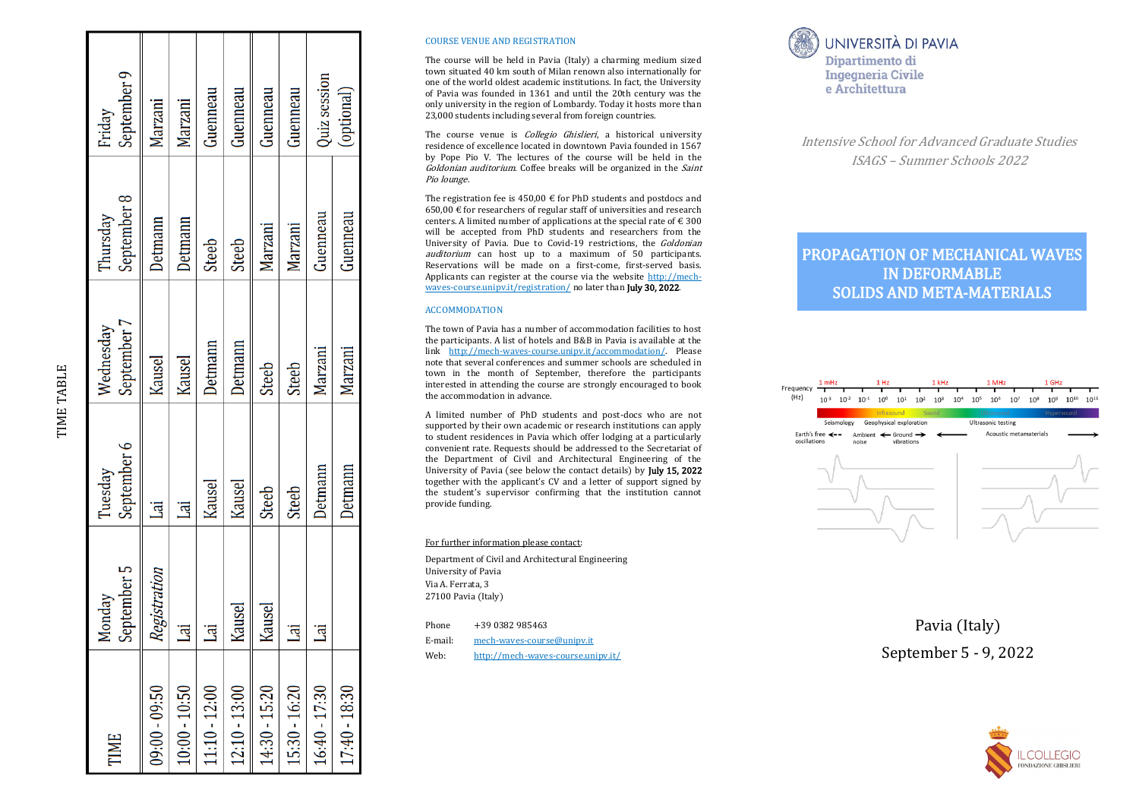| TIME            | September 5<br>Monday | September 6<br>Tuesday  | September 7<br>Wednesday | September 8<br>Thursday | September 9<br>Friday |
|-----------------|-----------------------|-------------------------|--------------------------|-------------------------|-----------------------|
| 09:00 - 09:50   | Registration          | $\overline{\mathbf{a}}$ | Kausel                   | <b>Detmann</b>          | Marzani               |
| $10:00 - 10:50$ | _<br>Lai              | Lai                     | Kausel                   | <b>Detmann</b>          | Marzani               |
| $11:10 - 12:00$ | <u>ier</u>            | Kausel                  | Detmann                  | <b>Steeb</b>            | Guenneau              |
| $12:10 - 13:00$ | Kausel                | Kausel                  | <b>Detmann</b>           | <b>Steeb</b>            | Guenneau              |
| 14:30 - 15:20   | Kausel                | <b>Steeb</b>            | <b>Steeb</b>             | Marzani                 | Guenneau              |
| 15:30 - 16:20   | _<br>Lai              | <b>Steeb</b>            | Steeb                    | Marzani                 | Guenneau              |
| $16:40 - 17:30$ | _<br>Lai              | Detmann                 | Marzani                  | Guenneau                | <b>Quiz</b> session   |
| 17:40 - 18:30   |                       | Detmann                 | Marzani                  | Guenneau                | (optional)            |

TIME TABLE

#### COURSE VENUE AND REGISTRATION

The course will be held in Pavia (Italy) a charming medium sized town situated 40 km south of Milan renown also internationally for one of the world oldest academic institutions. In fact, the University of Pavia was founded in 1361 and until the 20th century was the only university in the region of Lombardy. Today it hosts more than 23,000 students including several from foreign countries.

The course venue is *Collegio Ghislieri*, a historical university residence of excellence located in downtown Pavia founded in 1567 by Pope Pio V. The lectures of the course will be held in the Goldonian auditorium. Coffee breaks will be organized in the Saint Pio lounge.

The registration fee is  $450.00 \text{ } \in$  for PhD students and postdocs and 650,00 € for researchers of regular staff of universities and research centers. A limited number of applications at the special rate of  $\epsilon$  300 will be accepted from PhD students and researchers from the University of Pavia. Due to Covid-19 restrictions, the *Goldonian* auditorium can host up to a maximum of 50 participants. Reservations will be made on a first -come, first -served basis. Applicants can register at the course via the website <u>[http://mech](http://mech-waves-course.unipv.it/registration/)-</u> waves-[course.unipv.it/registration/](http://mech-waves-course.unipv.it/registration/) no later than **July 30, 2022**.

#### ACCOMMODATION

The town of Pavia has a number of accommodation facilities to host the participants. A list of hotels and B&B in Pavia is available at the link http://mech-waves-[course.unipv.it/accommodation/.](http://mech-waves-course.unipv.it/accommodation/) Please note that several conferences and summer schools are scheduled in town in the month of September, therefore the participants interested in attending the course are strongly encouraged to book the accommodation in advance.

A limited number of PhD students and post -docs who are not supported by their own academic or research institutions can apply to student residences in Pavia which offer lodging at a particularly convenient rate. Requests should be addressed to the Secretariat of the Department of Civil and Architectural Engineering of the University of Pavia (see below the contact details) by July 15, 2022 together with the applicant 's CV and a letter of support signed by the student 's supervisor confirming that the institution cannot provide funding.

#### For further information please contact:

Department of Civil and Architectural Engineering University of Pavia Via A. Ferrata, 3 27100 Pavia (Italy)

| Phone | +39 0382 985463 |  |
|-------|-----------------|--|
|       |                 |  |

- E-mail: mech-waves-[course@unipv.it](mailto:mech-waves-course@unipv.it)
- Web: http://mech -waves -[course.unipv.it/](http://mech-waves-course.unipv.it/)

## UNIVERSITÀ DI PAVIA Dipartimento di **Ingegneria Civile** e Architettura

Intensive School for Advanced Graduate Studies ISAGS – Summer Schools 2022

# PROPAGATION OF MECHANICAL WAVES IN DEFORMABLE SOLIDS AND META -MATERIALS



Pavia (Italy) September 5 - 9, 2022